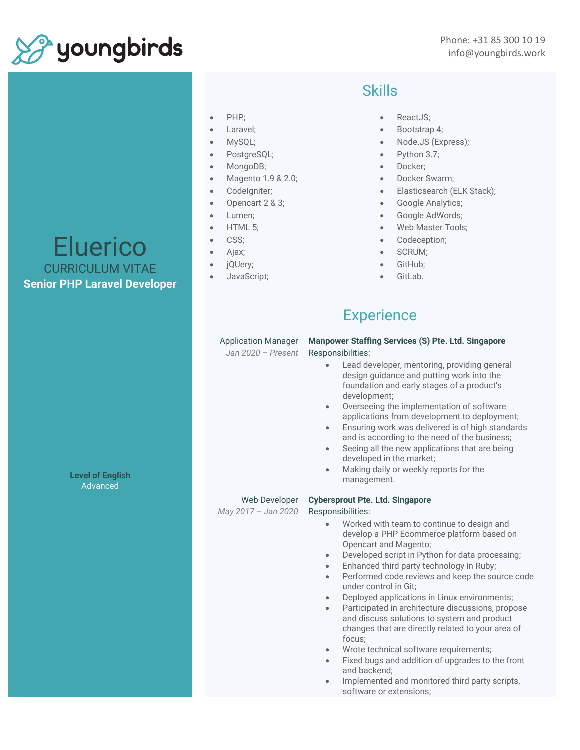

#### • PHP;

- Laravel;
- MySQL;
- PostgreSQL;
- MongoDB;
- Magento 1.9 & 2.0;
- CodeIgniter;
- Opencart 2 & 3;
- Lumen:
- HTML 5;
- CSS;
- Ajax;
- jQUery;
- JavaScript;

## **Skills**

- ReactJS:
- Bootstrap 4;
- Node.JS (Express);
- Python 3.7;
- Docker;
- Docker Swarm:
- Elasticsearch (ELK Stack);
- Google Analytics;
- Google AdWords;
- Web Master Tools:
- Codeception;
- SCRUM;
- GitHub;
- GitLab.

# **Experience**

#### Application Manager

*Jan 2020 – Present*

**Manpower Staffing Services (S) Pte. Ltd. Singapore** Responsibilities:

- Lead developer, mentoring, providing general design guidance and putting work into the foundation and early stages of a product's development;
- Overseeing the implementation of software applications from development to deployment;
- Ensuring work was delivered is of high standards and is according to the need of the business;
- Seeing all the new applications that are being developed in the market;
- Making daily or weekly reports for the management.

**Cybersprout Pte. Ltd. Singapore**

#### Web Developer

*May 2017 – Jan 2020*

### Responsibilities: • Worked with team to continue to design and develop a PHP Ecommerce platform based on

- Opencart and Magento; • Developed script in Python for data processing;
- Enhanced third party technology in Ruby;
- Performed code reviews and keep the source code under control in Git;
- Deployed applications in Linux environments;
- Participated in architecture discussions, propose and discuss solutions to system and product changes that are directly related to your area of focus;
- Wrote technical software requirements;
- Fixed bugs and addition of upgrades to the front and backend;
- Implemented and monitored third party scripts, software or extensions;

Eluerico CURRICULUM VITAE **Senior PHP Laravel Developer**

> **Level of English Advanced**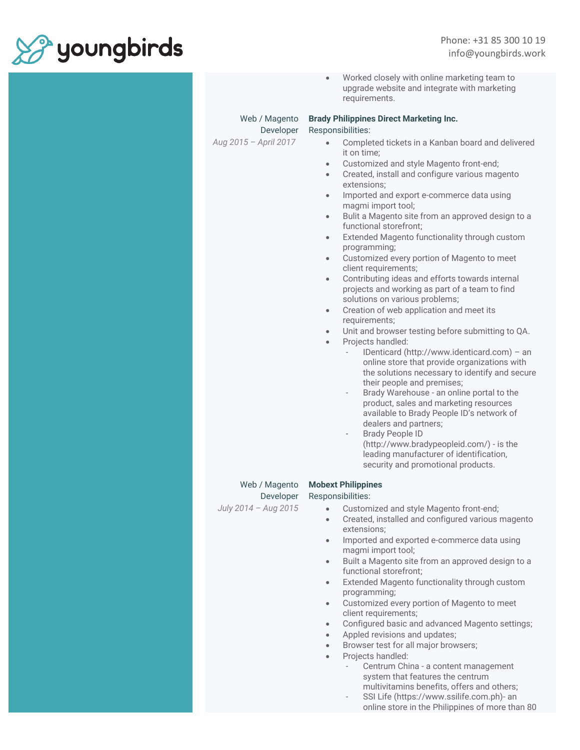

|                                                     | Worked closely with online marketing team to<br>$\bullet$<br>upgrade website and integrate with marketing<br>requirements.                                                                                                                                                                                                                                                                                                                                                                                                                                                                                                                                                                                                                                                                                                                                                                                                                                                                                                                                                                                                                                                                                                                                                                                                                                                                                                                                                      |
|-----------------------------------------------------|---------------------------------------------------------------------------------------------------------------------------------------------------------------------------------------------------------------------------------------------------------------------------------------------------------------------------------------------------------------------------------------------------------------------------------------------------------------------------------------------------------------------------------------------------------------------------------------------------------------------------------------------------------------------------------------------------------------------------------------------------------------------------------------------------------------------------------------------------------------------------------------------------------------------------------------------------------------------------------------------------------------------------------------------------------------------------------------------------------------------------------------------------------------------------------------------------------------------------------------------------------------------------------------------------------------------------------------------------------------------------------------------------------------------------------------------------------------------------------|
| Web / Magento<br>Developer<br>Aug 2015 - April 2017 | <b>Brady Philippines Direct Marketing Inc.</b><br>Responsibilities:<br>Completed tickets in a Kanban board and delivered<br>it on time;<br>Customized and style Magento front-end;<br>$\bullet$<br>Created, install and configure various magento<br>$\bullet$<br>extensions:<br>Imported and export e-commerce data using<br>$\bullet$<br>magmi import tool;<br>Bulit a Magento site from an approved design to a<br>$\bullet$<br>functional storefront;<br>Extended Magento functionality through custom<br>$\bullet$<br>programming;<br>Customized every portion of Magento to meet<br>$\bullet$<br>client requirements;<br>Contributing ideas and efforts towards internal<br>$\bullet$<br>projects and working as part of a team to find<br>solutions on various problems;<br>Creation of web application and meet its<br>$\bullet$<br>requirements;<br>Unit and browser testing before submitting to QA.<br>$\bullet$<br>Projects handled:<br>$\bullet$<br>IDenticard (http://www.identicard.com) - an<br>online store that provide organizations with<br>the solutions necessary to identify and secure<br>their people and premises;<br>Brady Warehouse - an online portal to the<br>$\sim$<br>product, sales and marketing resources<br>available to Brady People ID's network of<br>dealers and partners;<br><b>Brady People ID</b><br>÷<br>(http://www.bradypeopleid.com/) - is the<br>leading manufacturer of identification,<br>security and promotional products. |
| Web / Magento<br>Developer<br>July 2014 - Aug 2015  | <b>Mobext Philippines</b><br>Responsibilities:<br>Customized and style Magento front-end;<br>$\bullet$<br>Created, installed and configured various magento<br>$\bullet$<br>extensions;<br>Imported and exported e-commerce data using<br>$\bullet$<br>magmi import tool;<br>Built a Magento site from an approved design to a<br>$\bullet$<br>functional storefront;<br>Extended Magento functionality through custom<br>$\bullet$<br>programming;<br>Customized every portion of Magento to meet<br>$\bullet$<br>client requirements;<br>Configured basic and advanced Magento settings;<br>$\bullet$<br>Appled revisions and updates;<br>$\bullet$<br>Browser test for all major browsers;<br>$\bullet$<br>Projects handled:<br>$\bullet$<br>Centrum China - a content management<br>system that features the centrum<br>multivitamins benefits, offers and others;                                                                                                                                                                                                                                                                                                                                                                                                                                                                                                                                                                                                          |

- SSI Life (https://www.ssilife.com.ph)- an online store in the Philippines of more than 80